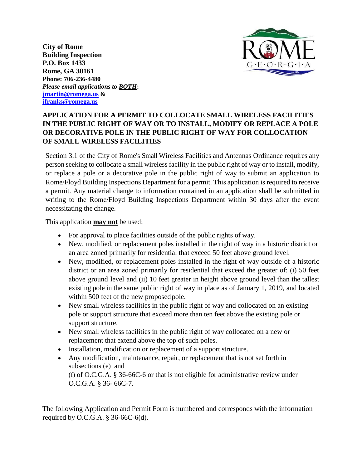**City of Rome Building Inspection P.O. Box 1433 Rome, GA 30161 Phone: 706-236-4480** *Please email applications to BOTH***: [jmartin@romega.us](mailto:jmartin@romega.us) & [jfranks@romega.us](mailto:jfranks@romega.us)**



### **APPLICATION FOR A PERMIT TO COLLOCATE SMALL WIRELESS FACILITIES IN THE PUBLIC RIGHT OF WAY OR TO INSTALL, MODIFY OR REPLACE A POLE OR DECORATIVE POLE IN THE PUBLIC RIGHT OF WAY FOR COLLOCATION OF SMALL WIRELESS FACILITIES**

Section 3.1 of the City of Rome's Small Wireless Facilities and Antennas Ordinance requires any person seeking to collocate a small wireless facility in the public right of way or to install, modify, or replace a pole or a decorative pole in the public right of way to submit an application to Rome/Floyd Building Inspections Department for a permit. This application is required to receive a permit. Any material change to information contained in an application shall be submitted in writing to the Rome/Floyd Building Inspections Department within 30 days after the event necessitating the change.

This application **may not** be used:

- For approval to place facilities outside of the public rights of way.
- New, modified, or replacement poles installed in the right of way in a historic district or an area zoned primarily for residential that exceed 50 feet above ground level.
- New, modified, or replacement poles installed in the right of way outside of a historic district or an area zoned primarily for residential that exceed the greater of: (i) 50 feet above ground level and (ii) 10 feet greater in height above ground level than the tallest existing pole in the same public right of way in place as of January 1, 2019, and located within 500 feet of the new proposed pole.
- New small wireless facilities in the public right of way and collocated on an existing pole or support structure that exceed more than ten feet above the existing pole or support structure.
- New small wireless facilities in the public right of way collocated on a new or replacement that extend above the top of such poles.
- Installation, modification or replacement of a support structure.
- Any modification, maintenance, repair, or replacement that is not set forth in subsections (e) and

(f) of O.C.G.A. § 36-66C-6 or that is not eligible for administrative review under O.C.G.A. § 36- 66C-7.

The following Application and Permit Form is numbered and corresponds with the information required by O.C.G.A. § 36-66C-6(d).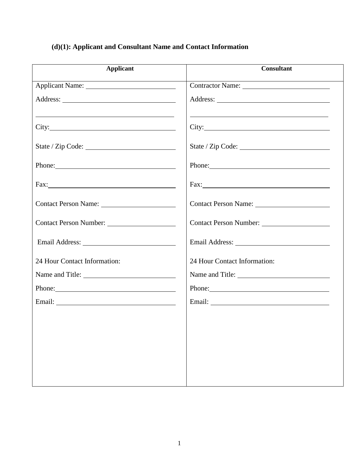### **(d)(1): Applicant and Consultant Name and Contact Information**

| <b>Applicant</b>                                                                                                                | <b>Consultant</b>                                                                                                                                                                                                                    |
|---------------------------------------------------------------------------------------------------------------------------------|--------------------------------------------------------------------------------------------------------------------------------------------------------------------------------------------------------------------------------------|
|                                                                                                                                 | Contractor Name:                                                                                                                                                                                                                     |
|                                                                                                                                 |                                                                                                                                                                                                                                      |
| <u> 1989 - Johann Stoff, deutscher Stoffen und der Stoffen und der Stoffen und der Stoffen und der Stoffen und der</u><br>City: | <u>and the contract of the contract of the contract of the contract of the contract of the contract of the contract of the contract of the contract of the contract of the contract of the contract of the contract of the contr</u> |
|                                                                                                                                 |                                                                                                                                                                                                                                      |
| Phone:                                                                                                                          | Phone:                                                                                                                                                                                                                               |
|                                                                                                                                 |                                                                                                                                                                                                                                      |
|                                                                                                                                 |                                                                                                                                                                                                                                      |
|                                                                                                                                 | Contact Person Number:                                                                                                                                                                                                               |
|                                                                                                                                 |                                                                                                                                                                                                                                      |
| 24 Hour Contact Information:                                                                                                    | 24 Hour Contact Information:                                                                                                                                                                                                         |
|                                                                                                                                 |                                                                                                                                                                                                                                      |
| Phone:                                                                                                                          | Phone:                                                                                                                                                                                                                               |
|                                                                                                                                 | Email: <u>Alexander School (2002)</u>                                                                                                                                                                                                |
|                                                                                                                                 |                                                                                                                                                                                                                                      |
|                                                                                                                                 |                                                                                                                                                                                                                                      |
|                                                                                                                                 |                                                                                                                                                                                                                                      |
|                                                                                                                                 |                                                                                                                                                                                                                                      |
|                                                                                                                                 |                                                                                                                                                                                                                                      |
|                                                                                                                                 |                                                                                                                                                                                                                                      |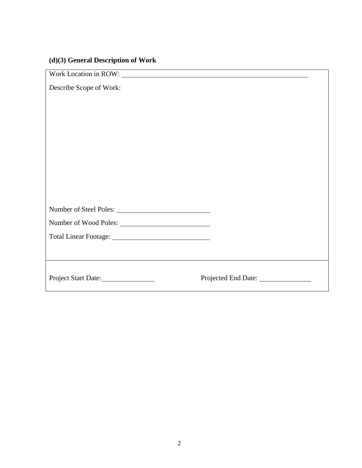### **(d)(3) General Description of Work**

| Work Location in ROW: Work Location in 2008. |                                      |
|----------------------------------------------|--------------------------------------|
| Describe Scope of Work:                      |                                      |
|                                              |                                      |
|                                              |                                      |
|                                              |                                      |
|                                              |                                      |
|                                              |                                      |
|                                              |                                      |
|                                              |                                      |
|                                              |                                      |
|                                              |                                      |
|                                              |                                      |
| Number of Wood Poles:                        |                                      |
|                                              |                                      |
|                                              |                                      |
|                                              |                                      |
| Project Start Date:                          | Projected End Date: ________________ |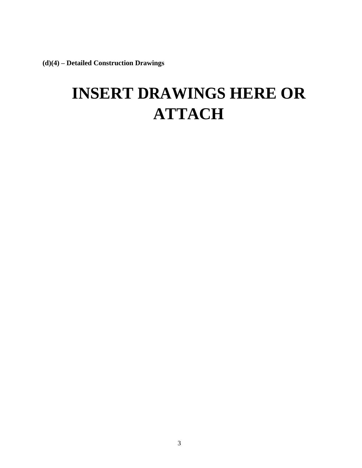**(d)(4) – Detailed Construction Drawings**

# **INSERT DRAWINGS HERE OR ATTACH**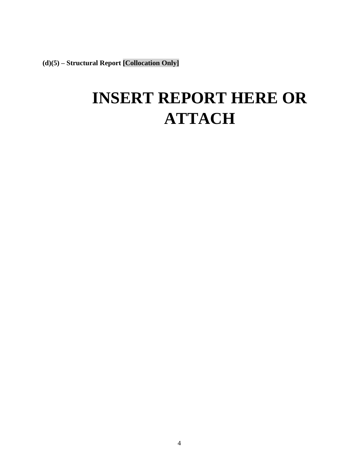**(d)(5) – Structural Report [Collocation Only]**

## **INSERT REPORT HERE OR ATTACH**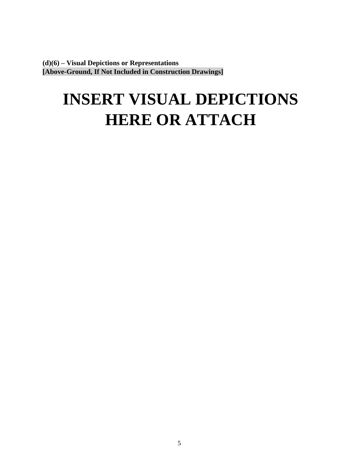**(d)(6) – Visual Depictions or Representations [Above-Ground, If Not Included in Construction Drawings]**

# **INSERT VISUAL DEPICTIONS HERE OR ATTACH**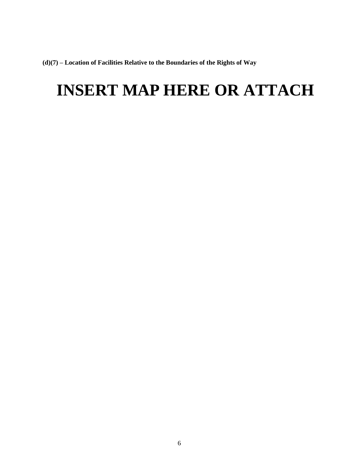**(d)(7) – Location of Facilities Relative to the Boundaries of the Rights of Way**

## **INSERT MAP HERE OR ATTACH**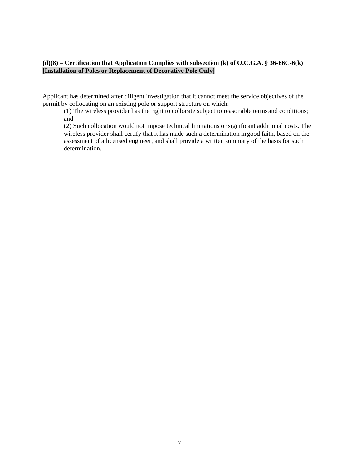#### **(d)(8) – Certification that Application Complies with subsection (k) of O.C.G.A. § 36-66C-6(k) [Installation of Poles or Replacement of Decorative Pole Only]**

Applicant has determined after diligent investigation that it cannot meet the service objectives of the permit by collocating on an existing pole or support structure on which:

(1) The wireless provider has the right to collocate subject to reasonable terms and conditions; and

(2) Such collocation would not impose technical limitations or significant additional costs. The wireless provider shall certify that it has made such a determination ingood faith, based on the assessment of a licensed engineer, and shall provide a written summary of the basis for such determination.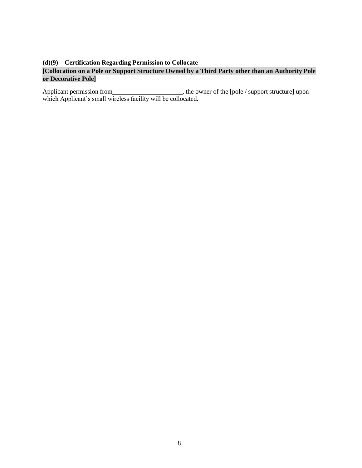#### **(d)(9) – Certification Regarding Permission to Collocate**

### **[Collocation on a Pole or Support Structure Owned by a Third Party other than an Authority Pole or Decorative Pole]**

Applicant permission from , the owner of the [pole / support structure] upon which Applicant's small wireless facility will be collocated.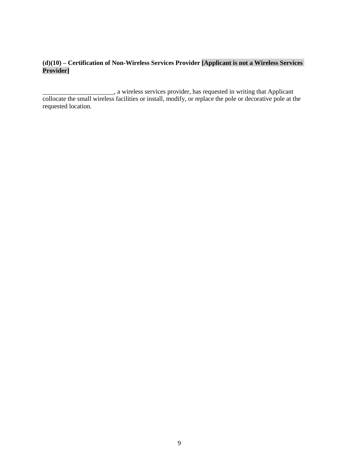### **(d)(10) – Certification of Non-Wireless Services Provider [Applicant is not a Wireless Services Provider]**

, a wireless services provider, has requested in writing that Applicant collocate the small wireless facilities or install, modify, or replace the pole or decorative pole at the requested location.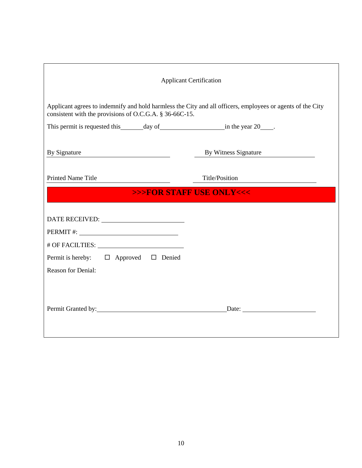| <b>Applicant Certification</b>                                                                                                                                        |                      |  |
|-----------------------------------------------------------------------------------------------------------------------------------------------------------------------|----------------------|--|
| Applicant agrees to indemnify and hold harmless the City and all officers, employees or agents of the City<br>consistent with the provisions of O.C.G.A. § 36-66C-15. |                      |  |
|                                                                                                                                                                       |                      |  |
| By Signature<br><u> 1980 - Johann Barbara, martxa eta politikar</u>                                                                                                   | By Witness Signature |  |
| <b>Printed Name Title</b>                                                                                                                                             | Title/Position       |  |
| >>>FOR STAFF USE ONLY<<<                                                                                                                                              |                      |  |
| Permit is hereby: $\Box$ Approved $\Box$ Denied<br><b>Reason for Denial:</b>                                                                                          |                      |  |
|                                                                                                                                                                       |                      |  |